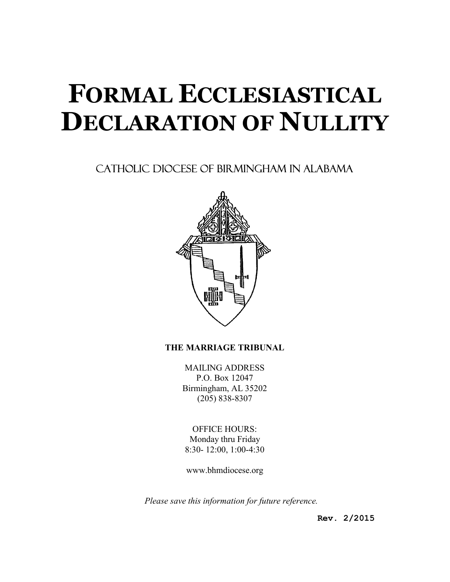# FORMAL ECCLESIASTICAL DECLARATION OF NULLITY

# CATHOLIC DIOCESE OF BIRMINGHAM IN ALABAMA



# THE MARRIAGE TRIBUNAL

MAILING ADDRESS P.O. Box 12047 Birmingham, AL 35202 (205) 838-8307

OFFICE HOURS: Monday thru Friday 8:30- 12:00, 1:00-4:30

www.bhmdiocese.org

Please save this information for future reference.

Rev. 2/2015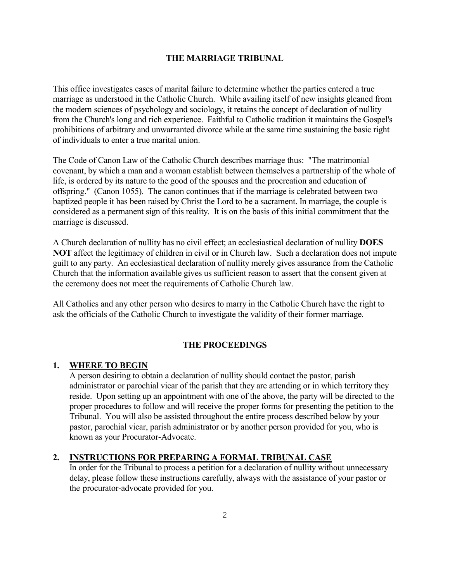#### THE MARRIAGE TRIBUNAL

This office investigates cases of marital failure to determine whether the parties entered a true marriage as understood in the Catholic Church. While availing itself of new insights gleaned from the modern sciences of psychology and sociology, it retains the concept of declaration of nullity from the Church's long and rich experience. Faithful to Catholic tradition it maintains the Gospel's prohibitions of arbitrary and unwarranted divorce while at the same time sustaining the basic right of individuals to enter a true marital union.

The Code of Canon Law of the Catholic Church describes marriage thus: "The matrimonial covenant, by which a man and a woman establish between themselves a partnership of the whole of life, is ordered by its nature to the good of the spouses and the procreation and education of offspring." (Canon 1055). The canon continues that if the marriage is celebrated between two baptized people it has been raised by Christ the Lord to be a sacrament. In marriage, the couple is considered as a permanent sign of this reality. It is on the basis of this initial commitment that the marriage is discussed.

A Church declaration of nullity has no civil effect; an ecclesiastical declaration of nullity DOES NOT affect the legitimacy of children in civil or in Church law. Such a declaration does not impute guilt to any party. An ecclesiastical declaration of nullity merely gives assurance from the Catholic Church that the information available gives us sufficient reason to assert that the consent given at the ceremony does not meet the requirements of Catholic Church law.

All Catholics and any other person who desires to marry in the Catholic Church have the right to ask the officials of the Catholic Church to investigate the validity of their former marriage.

#### THE PROCEEDINGS

#### 1. WHERE TO BEGIN

 A person desiring to obtain a declaration of nullity should contact the pastor, parish administrator or parochial vicar of the parish that they are attending or in which territory they reside. Upon setting up an appointment with one of the above, the party will be directed to the proper procedures to follow and will receive the proper forms for presenting the petition to the Tribunal. You will also be assisted throughout the entire process described below by your pastor, parochial vicar, parish administrator or by another person provided for you, who is known as your Procurator-Advocate.

# 2. INSTRUCTIONS FOR PREPARING A FORMAL TRIBUNAL CASE

 In order for the Tribunal to process a petition for a declaration of nullity without unnecessary delay, please follow these instructions carefully, always with the assistance of your pastor or the procurator-advocate provided for you.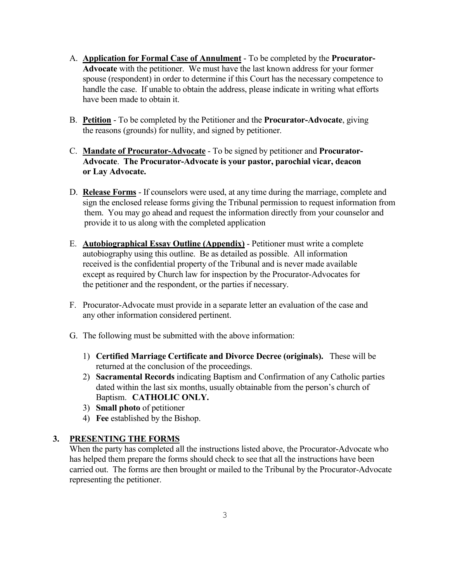- A. **Application for Formal Case of Annulment** To be completed by the **Procurator-** Advocate with the petitioner. We must have the last known address for your former spouse (respondent) in order to determine if this Court has the necessary competence to handle the case. If unable to obtain the address, please indicate in writing what efforts have been made to obtain it.
- B. Petition To be completed by the Petitioner and the Procurator-Advocate, giving the reasons (grounds) for nullity, and signed by petitioner.
- C. Mandate of Procurator-Advocate To be signed by petitioner and Procurator- Advocate. The Procurator-Advocate is your pastor, parochial vicar, deacon or Lay Advocate.
- D. Release Forms If counselors were used, at any time during the marriage, complete and sign the enclosed release forms giving the Tribunal permission to request information from them. You may go ahead and request the information directly from your counselor and provide it to us along with the completed application
- E. Autobiographical Essay Outline (Appendix) Petitioner must write a complete autobiography using this outline. Be as detailed as possible. All information received is the confidential property of the Tribunal and is never made available except as required by Church law for inspection by the Procurator-Advocates for the petitioner and the respondent, or the parties if necessary.
- F. Procurator-Advocate must provide in a separate letter an evaluation of the case and any other information considered pertinent.
- G. The following must be submitted with the above information:
	- 1) Certified Marriage Certificate and Divorce Decree (originals). These will be returned at the conclusion of the proceedings.
	- 2) Sacramental Records indicating Baptism and Confirmation of any Catholic parties dated within the last six months, usually obtainable from the person's church of Baptism. CATHOLIC ONLY.
	- 3) Small photo of petitioner
	- 4) Fee established by the Bishop.

# 3. PRESENTING THE FORMS

 When the party has completed all the instructions listed above, the Procurator-Advocate who has helped them prepare the forms should check to see that all the instructions have been carried out. The forms are then brought or mailed to the Tribunal by the Procurator-Advocate representing the petitioner.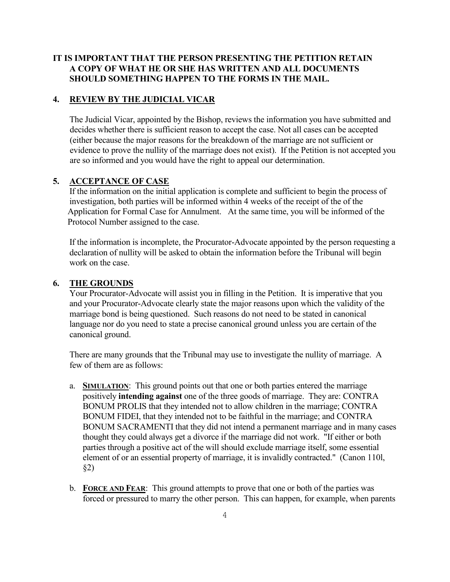# IT IS IMPORTANT THAT THE PERSON PRESENTING THE PETITION RETAIN A COPY OF WHAT HE OR SHE HAS WRITTEN AND ALL DOCUMENTS SHOULD SOMETHING HAPPEN TO THE FORMS IN THE MAIL.

### 4. REVIEW BY THE JUDICIAL VICAR

 The Judicial Vicar, appointed by the Bishop, reviews the information you have submitted and decides whether there is sufficient reason to accept the case. Not all cases can be accepted (either because the major reasons for the breakdown of the marriage are not sufficient or evidence to prove the nullity of the marriage does not exist). If the Petition is not accepted you are so informed and you would have the right to appeal our determination.

#### 5. ACCEPTANCE OF CASE

 If the information on the initial application is complete and sufficient to begin the process of investigation, both parties will be informed within 4 weeks of the receipt of the of the Application for Formal Case for Annulment. At the same time, you will be informed of the Protocol Number assigned to the case.

 If the information is incomplete, the Procurator-Advocate appointed by the person requesting a declaration of nullity will be asked to obtain the information before the Tribunal will begin work on the case.

#### 6. THE GROUNDS

 Your Procurator-Advocate will assist you in filling in the Petition. It is imperative that you and your Procurator-Advocate clearly state the major reasons upon which the validity of the marriage bond is being questioned. Such reasons do not need to be stated in canonical language nor do you need to state a precise canonical ground unless you are certain of the canonical ground.

 There are many grounds that the Tribunal may use to investigate the nullity of marriage. A few of them are as follows:

- a. **SIMULATION:** This ground points out that one or both parties entered the marriage positively intending against one of the three goods of marriage. They are: CONTRA BONUM PROLIS that they intended not to allow children in the marriage; CONTRA BONUM FIDEI, that they intended not to be faithful in the marriage; and CONTRA BONUM SACRAMENTI that they did not intend a permanent marriage and in many cases thought they could always get a divorce if the marriage did not work. "If either or both parties through a positive act of the will should exclude marriage itself, some essential element of or an essential property of marriage, it is invalidly contracted." (Canon 110l, §2)
- b. FORCE AND FEAR: This ground attempts to prove that one or both of the parties was forced or pressured to marry the other person. This can happen, for example, when parents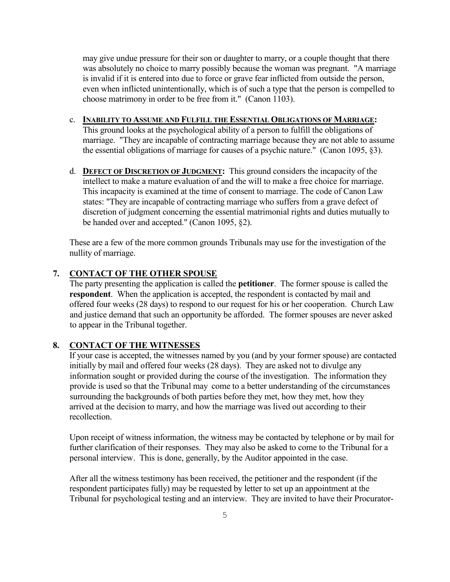may give undue pressure for their son or daughter to marry, or a couple thought that there was absolutely no choice to marry possibly because the woman was pregnant. "A marriage is invalid if it is entered into due to force or grave fear inflicted from outside the person, even when inflicted unintentionally, which is of such a type that the person is compelled to choose matrimony in order to be free from it." (Canon 1103).

- c. INABILITY TO ASSUME AND FULFILL THE ESSENTIAL OBLIGATIONS OF MARRIAGE: This ground looks at the psychological ability of a person to fulfill the obligations of marriage. "They are incapable of contracting marriage because they are not able to assume the essential obligations of marriage for causes of a psychic nature." (Canon 1095, §3).
- d. **DEFECT OF DISCRETION OF JUDGMENT:** This ground considers the incapacity of the intellect to make a mature evaluation of and the will to make a free choice for marriage. This incapacity is examined at the time of consent to marriage. The code of Canon Law states: "They are incapable of contracting marriage who suffers from a grave defect of discretion of judgment concerning the essential matrimonial rights and duties mutually to be handed over and accepted." (Canon 1095, §2).

 These are a few of the more common grounds Tribunals may use for the investigation of the nullity of marriage.

#### 7. CONTACT OF THE OTHER SPOUSE

 The party presenting the application is called the petitioner. The former spouse is called the respondent. When the application is accepted, the respondent is contacted by mail and offered four weeks (28 days) to respond to our request for his or her cooperation. Church Law and justice demand that such an opportunity be afforded. The former spouses are never asked to appear in the Tribunal together.

#### 8. CONTACT OF THE WITNESSES

 If your case is accepted, the witnesses named by you (and by your former spouse) are contacted initially by mail and offered four weeks (28 days). They are asked not to divulge any information sought or provided during the course of the investigation. The information they provide is used so that the Tribunal may come to a better understanding of the circumstances surrounding the backgrounds of both parties before they met, how they met, how they arrived at the decision to marry, and how the marriage was lived out according to their recollection.

 Upon receipt of witness information, the witness may be contacted by telephone or by mail for further clarification of their responses. They may also be asked to come to the Tribunal for a personal interview. This is done, generally, by the Auditor appointed in the case.

 After all the witness testimony has been received, the petitioner and the respondent (if the respondent participates fully) may be requested by letter to set up an appointment at the Tribunal for psychological testing and an interview. They are invited to have their Procurator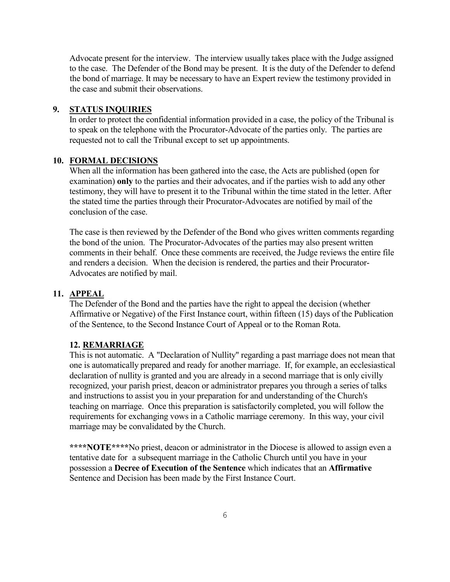Advocate present for the interview. The interview usually takes place with the Judge assigned to the case. The Defender of the Bond may be present. It is the duty of the Defender to defend the bond of marriage. It may be necessary to have an Expert review the testimony provided in the case and submit their observations.

#### 9. STATUS INQUIRIES

 In order to protect the confidential information provided in a case, the policy of the Tribunal is to speak on the telephone with the Procurator-Advocate of the parties only. The parties are requested not to call the Tribunal except to set up appointments.

#### 10. FORMAL DECISIONS

 When all the information has been gathered into the case, the Acts are published (open for examination) only to the parties and their advocates, and if the parties wish to add any other testimony, they will have to present it to the Tribunal within the time stated in the letter. After the stated time the parties through their Procurator-Advocates are notified by mail of the conclusion of the case.

 The case is then reviewed by the Defender of the Bond who gives written comments regarding the bond of the union. The Procurator-Advocates of the parties may also present written comments in their behalf. Once these comments are received, the Judge reviews the entire file and renders a decision. When the decision is rendered, the parties and their Procurator- Advocates are notified by mail.

## 11. APPEAL

 The Defender of the Bond and the parties have the right to appeal the decision (whether Affirmative or Negative) of the First Instance court, within fifteen (15) days of the Publication of the Sentence, to the Second Instance Court of Appeal or to the Roman Rota.

#### 12. REMARRIAGE

 This is not automatic. A "Declaration of Nullity" regarding a past marriage does not mean that one is automatically prepared and ready for another marriage. If, for example, an ecclesiastical declaration of nullity is granted and you are already in a second marriage that is only civilly recognized, your parish priest, deacon or administrator prepares you through a series of talks and instructions to assist you in your preparation for and understanding of the Church's teaching on marriage. Once this preparation is satisfactorily completed, you will follow the requirements for exchanging vows in a Catholic marriage ceremony. In this way, your civil marriage may be convalidated by the Church.

\*\*\*\*NOTE\*\*\*\*No priest, deacon or administrator in the Diocese is allowed to assign even a tentative date for a subsequent marriage in the Catholic Church until you have in your possession a Decree of Execution of the Sentence which indicates that an Affirmative Sentence and Decision has been made by the First Instance Court.